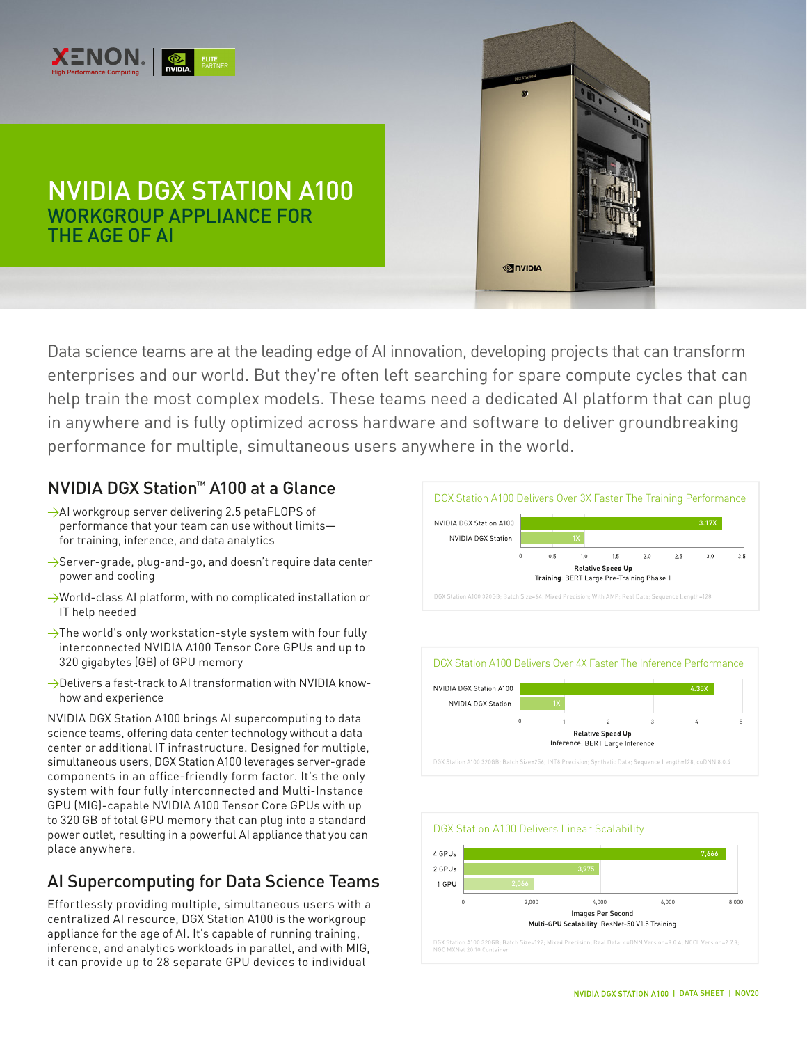

# NVIDIA DGX STATION A100 WORKGROUP APPLIANCE FOR THE AGE OF AI



# NVIDIA DGX Station™ A100 at a Glance

- →AI workgroup server delivering 2.5 petaFLOPS of performance that your team can use without limits for training, inference, and data analytics
- >Server-grade, plug-and-go, and doesn't require data center power and cooling
- $\rightarrow$ World-class AI platform, with no complicated installation or IT help needed
- $\rightarrow$ The world's only workstation-style system with four fully interconnected NVIDIA A100 Tensor Core GPUs and up to 320 gigabytes (GB) of GPU memory
- $\rightarrow$ Delivers a fast-track to AI transformation with NVIDIA knowhow and experience

NVIDIA DGX Station A100 brings AI supercomputing to data science teams, offering data center technology without a data center or additional IT infrastructure. Designed for multiple, simultaneous users, DGX Station A100 leverages server-grade components in an office-friendly form factor. It's the only system with four fully interconnected and Multi-Instance GPU (MIG)-capable NVIDIA A100 Tensor Core GPUs with up to 320 GB of total GPU memory that can plug into a standard power outlet, resulting in a powerful AI appliance that you can place anywhere.

# AI Supercomputing for Data Science Teams

Effortlessly providing multiple, simultaneous users with a centralized AI resource, DGX Station A100 is the workgroup appliance for the age of AI. It's capable of running training, inference, and analytics workloads in parallel, and with MIG, it can provide up to 28 separate GPU devices to individual



**SINIDIA**